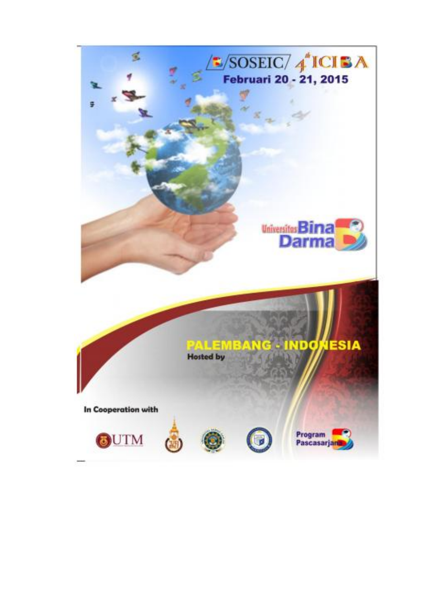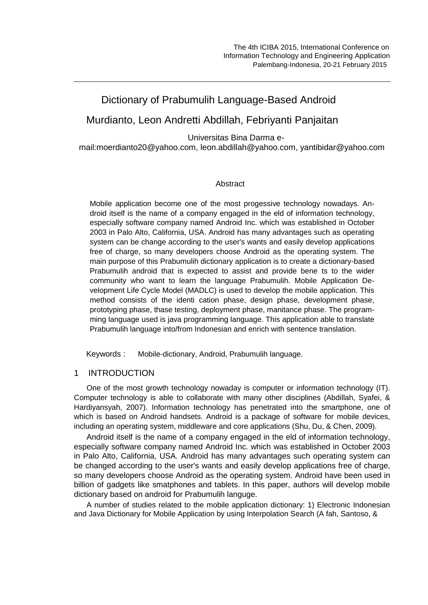# Dictionary of Prabumulih Language-Based Android

## Murdianto, Leon Andretti Abdillah, Febriyanti Panjaitan

Universitas Bina Darma e-

mail:moerdianto20@yahoo.com, leon.abdillah@yahoo.com, yantibidar@yahoo.com

### Abstract

Mobile application become one of the most progessive technology nowadays. Android itself is the name of a company engaged in the eld of information technology, especially software company named Android Inc. which was established in October 2003 in Palo Alto, California, USA. Android has many advantages such as operating system can be change according to the user's wants and easily develop applications free of charge, so many developers choose Android as the operating system. The main purpose of this Prabumulih dictionary application is to create a dictionary-based Prabumulih android that is expected to assist and provide bene ts to the wider community who want to learn the language Prabumulih. Mobile Application Development Life Cycle Model (MADLC) is used to develop the mobile application. This method consists of the identi cation phase, design phase, development phase, prototyping phase, thase testing, deployment phase, manitance phase. The programming language used is java programming language. This application able to translate Prabumulih language into/from Indonesian and enrich with sentence translation.

Keywords : Mobile-dictionary, Android, Prabumulih language.

## 1 INTRODUCTION

One of the most growth technology nowaday is computer or information technology (IT). Computer technology is able to collaborate with many other disciplines (Abdillah, Syafei, & Hardiyansyah, 2007). Information technology has penetrated into the smartphone, one of which is based on Android handsets. Android is a package of software for mobile devices, including an operating system, middleware and core applications (Shu, Du, & Chen, 2009).

Android itself is the name of a company engaged in the eld of information technology, especially software company named Android Inc. which was established in October 2003 in Palo Alto, California, USA. Android has many advantages such operating system can be changed according to the user's wants and easily develop applications free of charge, so many developers choose Android as the operating system. Android have been used in billion of gadgets like smatphones and tablets. In this paper, authors will develop mobile dictionary based on android for Prabumulih languge.

A number of studies related to the mobile application dictionary: 1) Electronic Indonesian and Java Dictionary for Mobile Application by using Interpolation Search (A fah, Santoso, &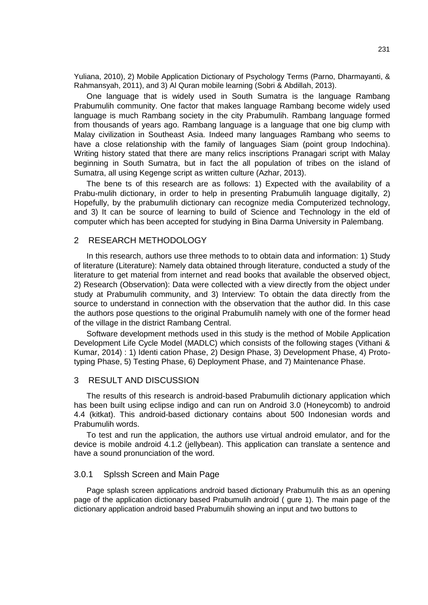Yuliana, 2010), 2) Mobile Application Dictionary of Psychology Terms (Parno, Dharmayanti, & Rahmansyah, 2011), and 3) Al Quran mobile learning (Sobri & Abdillah, 2013).

One language that is widely used in South Sumatra is the language Rambang Prabumulih community. One factor that makes language Rambang become widely used language is much Rambang society in the city Prabumulih. Rambang language formed from thousands of years ago. Rambang language is a language that one big clump with Malay civilization in Southeast Asia. Indeed many languages Rambang who seems to have a close relationship with the family of languages Siam (point group Indochina). Writing history stated that there are many relics inscriptions Pranagari script with Malay beginning in South Sumatra, but in fact the all population of tribes on the island of Sumatra, all using Kegenge script as written culture (Azhar, 2013).

The bene ts of this research are as follows: 1) Expected with the availability of a Prabu-mulih dictionary, in order to help in presenting Prabumulih language digitally, 2) Hopefully, by the prabumulih dictionary can recognize media Computerized technology, and 3) It can be source of learning to build of Science and Technology in the eld of computer which has been accepted for studying in Bina Darma University in Palembang.

#### 2 RESEARCH METHODOLOGY

In this research, authors use three methods to to obtain data and information: 1) Study of literature (Literature): Namely data obtained through literature, conducted a study of the literature to get material from internet and read books that available the observed object, 2) Research (Observation): Data were collected with a view directly from the object under study at Prabumulih community, and 3) Interview: To obtain the data directly from the source to understand in connection with the observation that the author did. In this case the authors pose questions to the original Prabumulih namely with one of the former head of the village in the district Rambang Central.

Software development methods used in this study is the method of Mobile Application Development Life Cycle Model (MADLC) which consists of the following stages (Vithani & Kumar, 2014) : 1) Identi cation Phase, 2) Design Phase, 3) Development Phase, 4) Prototyping Phase, 5) Testing Phase, 6) Deployment Phase, and 7) Maintenance Phase.

#### 3 RESULT AND DISCUSSION

The results of this research is android-based Prabumulih dictionary application which has been built using eclipse indigo and can run on Android 3.0 (Honeycomb) to android 4.4 (kitkat). This android-based dictionary contains about 500 Indonesian words and Prabumulih words.

To test and run the application, the authors use virtual android emulator, and for the device is mobile android 4.1.2 (jellybean). This application can translate a sentence and have a sound pronunciation of the word.

#### 3.0.1 Splssh Screen and Main Page

Page splash screen applications android based dictionary Prabumulih this as an opening page of the application dictionary based Prabumulih android ( gure 1). The main page of the dictionary application android based Prabumulih showing an input and two buttons to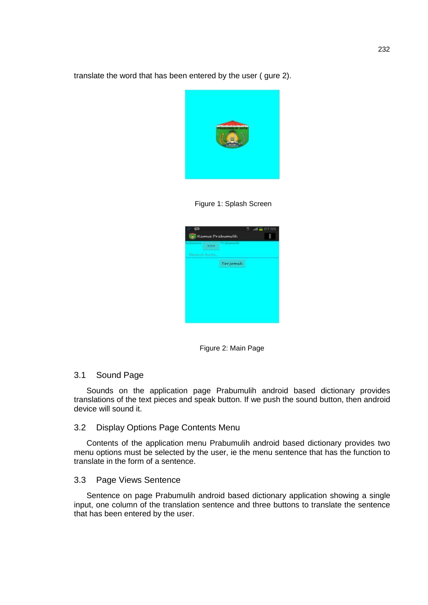translate the word that has been entered by the user ( gure 2).



Figure 1: Splash Screen



Figure 2: Main Page

## 3.1 Sound Page

Sounds on the application page Prabumulih android based dictionary provides translations of the text pieces and speak button. If we push the sound button, then android device will sound it.

#### 3.2 Display Options Page Contents Menu

Contents of the application menu Prabumulih android based dictionary provides two menu options must be selected by the user, ie the menu sentence that has the function to translate in the form of a sentence.

#### 3.3 Page Views Sentence

Sentence on page Prabumulih android based dictionary application showing a single input, one column of the translation sentence and three buttons to translate the sentence that has been entered by the user.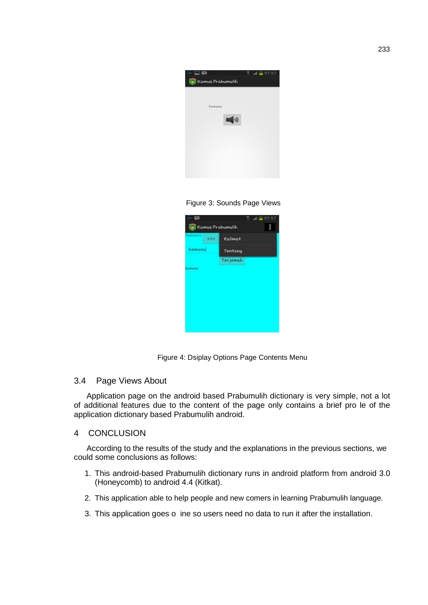

Figure 3: Sounds Page Views



Figure 4: Dsiplay Options Page Contents Menu

## 3.4 Page Views About

Application page on the android based Prabumulih dictionary is very simple, not a lot of additional features due to the content of the page only contains a brief pro le of the application dictionary based Prabumulih android.

## 4 CONCLUSION

According to the results of the study and the explanations in the previous sections, we could some conclusions as follows:

- 1. This android-based Prabumulih dictionary runs in android platform from android 3.0 (Honeycomb) to android 4.4 (Kitkat).
- 2. This application able to help people and new comers in learning Prabumulih language.
- 3. This application goes o ine so users need no data to run it after the installation.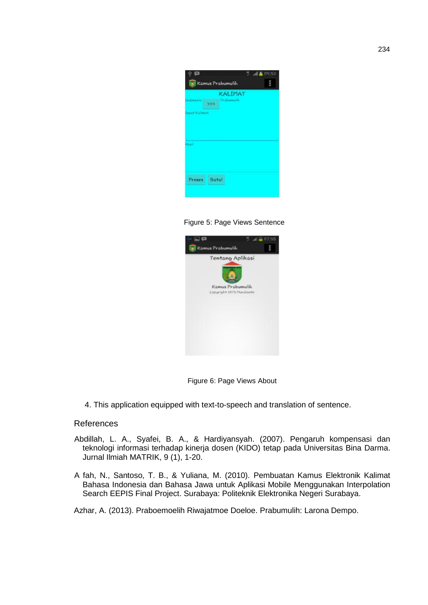

Figure 5: Page Views Sentence



Figure 6: Page Views About

4. This application equipped with text-to-speech and translation of sentence.

## References

- Abdillah, L. A., Syafei, B. A., & Hardiyansyah. (2007). Pengaruh kompensasi dan teknologi informasi terhadap kinerja dosen (KIDO) tetap pada Universitas Bina Darma. Jurnal Ilmiah MATRIK, 9 (1), 1-20.
- A fah, N., Santoso, T. B., & Yuliana, M. (2010). Pembuatan Kamus Elektronik Kalimat Bahasa Indonesia dan Bahasa Jawa untuk Aplikasi Mobile Menggunakan Interpolation Search EEPIS Final Project. Surabaya: Politeknik Elektronika Negeri Surabaya.

Azhar, A. (2013). Praboemoelih Riwajatmoe Doeloe. Prabumulih: Larona Dempo.